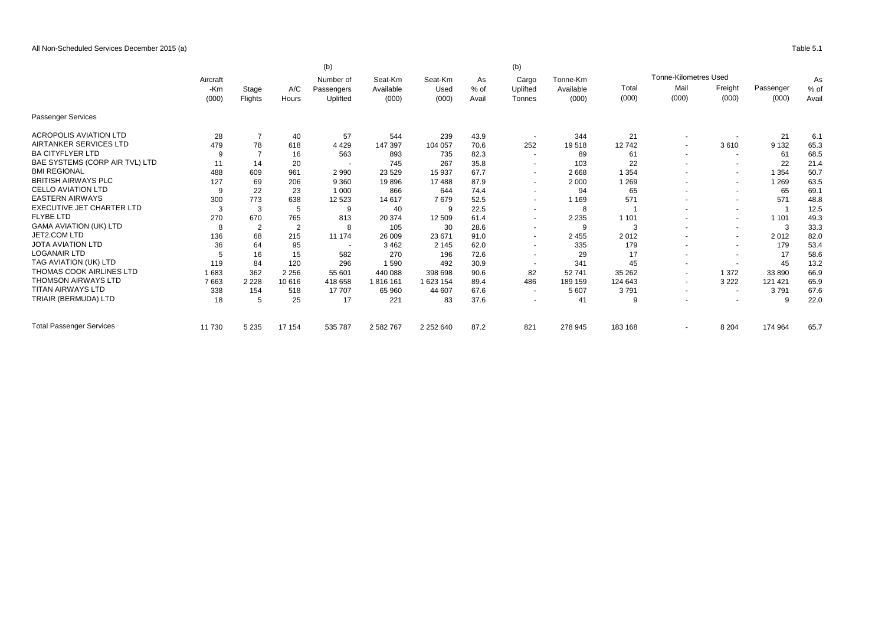All Non-Scheduled Services December 2015 (a) Table 5.1

|                                  |              | (b)<br>(b)     |                |                          |                      |                 |            |                          |                       |         |                              |                          |           |        |       |
|----------------------------------|--------------|----------------|----------------|--------------------------|----------------------|-----------------|------------|--------------------------|-----------------------|---------|------------------------------|--------------------------|-----------|--------|-------|
|                                  | Aircraft     |                | A/C            | Number of<br>Passengers  | Seat-Km<br>Available | Seat-Km<br>Used | As<br>% of | Cargo<br>Uplifted        | Tonne-Km<br>Available |         | <b>Tonne-Kilometres Used</b> |                          |           |        |       |
|                                  | -Km<br>(000) | Stage          |                |                          |                      |                 |            |                          |                       | Total   | Mail                         | Freight                  | Passenger | $%$ of |       |
|                                  |              |                | Flights        | Hours                    | Uplifted             | (000)           | (000)      | Avail                    | Tonnes                | (000)   | (000)                        | (000)                    | (000)     | (000)  | Avail |
| Passenger Services               |              |                |                |                          |                      |                 |            |                          |                       |         |                              |                          |           |        |       |
| <b>ACROPOLIS AVIATION LTD</b>    | 28           | $\overline{7}$ | 40             | 57                       | 544                  | 239             | 43.9       | $\overline{\phantom{a}}$ | 344                   | 21      | $\overline{\phantom{a}}$     | $\overline{\phantom{a}}$ | 21        | 6.1    |       |
| AIRTANKER SERVICES LTD           | 479          | 78             | 618            | 4 4 2 9                  | 147 397              | 104 057         | 70.6       | 252                      | 19518                 | 12742   | $\overline{\phantom{a}}$     | 3610                     | 9 1 3 2   | 65.3   |       |
| <b>BA CITYFLYER LTD</b>          |              |                | 16             | 563                      | 893                  | 735             | 82.3       | $\sim$                   | 89                    | 61      | $\overline{a}$               | $\sim$                   | 61        | 68.5   |       |
| BAE SYSTEMS (CORP AIR TVL) LTD   | 11           | 14             | 20             |                          | 745                  | 267             | 35.8       | $\overline{\phantom{a}}$ | 103                   | 22      |                              | $\overline{\phantom{a}}$ | 22        | 21.4   |       |
| <b>BMI REGIONAL</b>              | 488          | 609            | 961            | 2990                     | 23 5 29              | 15 937          | 67.7       | $\overline{\phantom{a}}$ | 2668                  | 1 3 5 4 |                              | $\overline{\phantom{a}}$ | 1 3 5 4   | 50.7   |       |
| <b>BRITISH AIRWAYS PLC</b>       | 127          | 69             | 206            | 9 3 6 0                  | 19896                | 17488           | 87.9       | $\overline{\phantom{a}}$ | 2 0 0 0               | 1 2 6 9 | $\overline{\phantom{a}}$     | $\overline{\phantom{a}}$ | 1 2 6 9   | 63.5   |       |
| <b>CELLO AVIATION LTD</b>        | 9            | 22             | 23             | 1 0 0 0                  | 866                  | 644             | 74.4       | $\overline{\phantom{a}}$ | 94                    | 65      | $\overline{\phantom{a}}$     | $\overline{\phantom{a}}$ | 65        | 69.1   |       |
| <b>EASTERN AIRWAYS</b>           | 300          | 773            | 638            | 12 5 23                  | 14 617               | 7679            | 52.5       | $\overline{\phantom{a}}$ | 1 1 6 9               | 571     | $\overline{\phantom{a}}$     | $\overline{\phantom{a}}$ | 571       | 48.8   |       |
| <b>EXECUTIVE JET CHARTER LTD</b> | 3            | 3              | 5              | 9                        | 40                   | 9               | 22.5       | $\overline{\phantom{a}}$ | 8                     |         |                              | $\overline{\phantom{a}}$ |           | 12.5   |       |
| <b>FLYBE LTD</b>                 | 270          | 670            | 765            | 813                      | 20 374               | 12 509          | 61.4       | $\overline{\phantom{a}}$ | 2 2 3 5               | 1 1 0 1 |                              | $\overline{\phantom{a}}$ | 1 1 0 1   | 49.3   |       |
| <b>GAMA AVIATION (UK) LTD</b>    | 8            | 2              | $\overline{2}$ | 8                        | 105                  | 30              | 28.6       | $\overline{\phantom{a}}$ | <sub>9</sub>          | 3       | $\overline{\phantom{a}}$     | $\blacksquare$           | 3         | 33.3   |       |
| JET2.COM LTD                     | 136          | 68             | 215            | 11 174                   | 26 009               | 23 671          | 91.0       | $\overline{\phantom{a}}$ | 2 4 5 5               | 2012    |                              | $\overline{\phantom{a}}$ | 2012      | 82.0   |       |
| <b>JOTA AVIATION LTD</b>         | 36           | 64             | 95             | $\overline{\phantom{a}}$ | 3 4 6 2              | 2 1 4 5         | 62.0       | $\overline{\phantom{a}}$ | 335                   | 179     |                              | $\sim$                   | 179       | 53.4   |       |
| <b>LOGANAIR LTD</b>              |              | 16             | 15             | 582                      | 270                  | 196             | 72.6       | $\sim$                   | 29                    | 17      | $\blacksquare$               | $\overline{\phantom{a}}$ | 17        | 58.6   |       |
| TAG AVIATION (UK) LTD            | 119          | 84             | 120            | 296                      | 1590                 | 492             | 30.9       |                          | 341                   | 45      |                              | $\overline{\phantom{a}}$ | 45        | 13.2   |       |
| THOMAS COOK AIRLINES LTD         | 1683         | 362            | 2 2 5 6        | 55 601                   | 440 088              | 398 698         | 90.6       | 82                       | 52 741                | 35 26 2 | $\blacksquare$               | 1 3 7 2                  | 33 890    | 66.9   |       |
| <b>THOMSON AIRWAYS LTD</b>       | 7663         | 2 2 2 8        | 10 616         | 418 658                  | 1816 161             | 1 623 154       | 89.4       | 486                      | 189 159               | 124 643 | $\blacksquare$               | 3 2 2 2                  | 121 421   | 65.9   |       |
| <b>TITAN AIRWAYS LTD</b>         | 338          | 154            | 518            | 17 707                   | 65 960               | 44 607          | 67.6       | $\sim$                   | 5 607                 | 3791    |                              | $\sim$                   | 3791      | 67.6   |       |
| TRIAIR (BERMUDA) LTD             | 18           | 5              | 25             | 17                       | 221                  | 83              | 37.6       | ٠                        | 41                    | 9       |                              | $\blacksquare$           | 9         | 22.0   |       |
| <b>Total Passenger Services</b>  | 11 730       | 5 2 3 5        | 17 154         | 535 787                  | 2 582 767            | 2 2 5 2 6 4 0   | 87.2       | 821                      | 278 945               | 183 168 | $\blacksquare$               | 8 2 0 4                  | 174 964   | 65.7   |       |